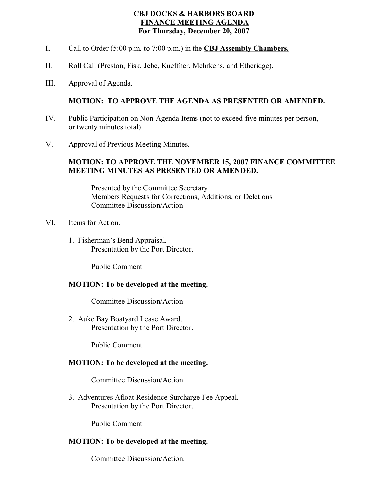# **CBJ DOCKS & HARBORS BOARD FINANCE MEETING AGENDA For Thursday, December 20, 2007**

- I. Call to Order (5:00 p.m. to 7:00 p.m.) in the **CBJ Assembly Chambers.**
- II. Roll Call (Preston, Fisk, Jebe, Kueffner, Mehrkens, and Etheridge).
- III. Approval of Agenda.

### **MOTION: TO APPROVE THE AGENDA AS PRESENTED OR AMENDED.**

- IV. Public Participation on Non-Agenda Items (not to exceed five minutes per person, or twenty minutes total).
- V. Approval of Previous Meeting Minutes.

### **MOTION: TO APPROVE THE NOVEMBER 15, 2007 FINANCE COMMITTEE MEETING MINUTES AS PRESENTED OR AMENDED.**

Presented by the Committee Secretary Members Requests for Corrections, Additions, or Deletions Committee Discussion/Action

- VI. Items for Action.
	- 1. Fisherman's Bend Appraisal. Presentation by the Port Director.

Public Comment

#### **MOTION: To be developed at the meeting.**

Committee Discussion/Action

2. Auke Bay Boatyard Lease Award. Presentation by the Port Director.

Public Comment

#### **MOTION: To be developed at the meeting.**

Committee Discussion/Action

3. Adventures Afloat Residence Surcharge Fee Appeal. Presentation by the Port Director.

Public Comment

#### **MOTION: To be developed at the meeting.**

Committee Discussion/Action.